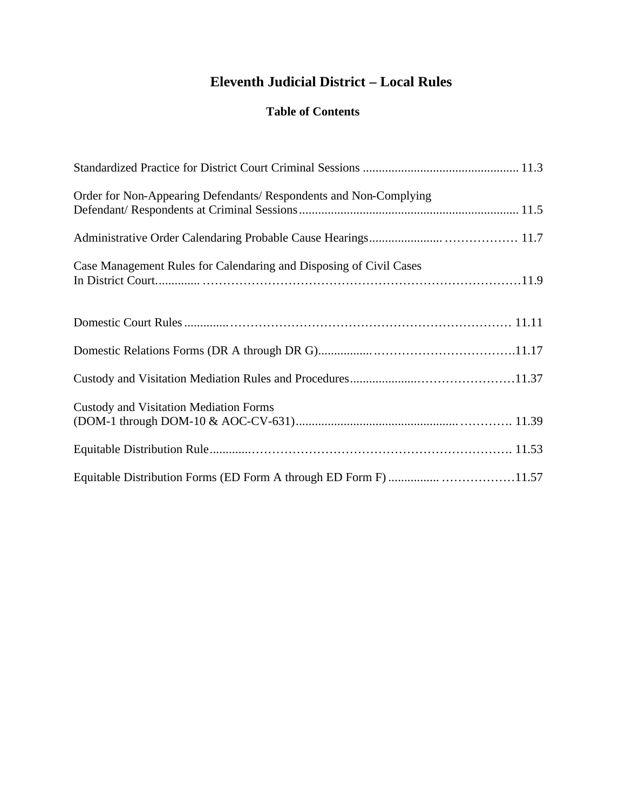# **Eleventh Judicial District – Local Rules**

## **Table of Contents**

| Order for Non-Appearing Defendants/ Respondents and Non-Complying  |
|--------------------------------------------------------------------|
|                                                                    |
| Case Management Rules for Calendaring and Disposing of Civil Cases |
|                                                                    |
|                                                                    |
|                                                                    |
| <b>Custody and Visitation Mediation Forms</b>                      |
|                                                                    |
|                                                                    |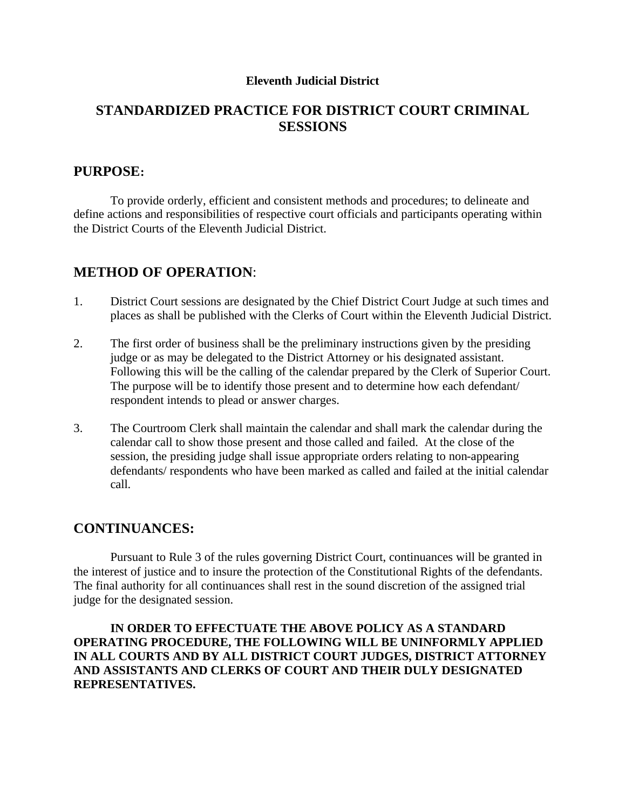#### **Eleventh Judicial District**

# **STANDARDIZED PRACTICE FOR DISTRICT COURT CRIMINAL SESSIONS**

#### **PURPOSE:**

To provide orderly, efficient and consistent methods and procedures; to delineate and define actions and responsibilities of respective court officials and participants operating within the District Courts of the Eleventh Judicial District.

## **METHOD OF OPERATION**:

- 1. District Court sessions are designated by the Chief District Court Judge at such times and places as shall be published with the Clerks of Court within the Eleventh Judicial District.
- 2. The first order of business shall be the preliminary instructions given by the presiding judge or as may be delegated to the District Attorney or his designated assistant. Following this will be the calling of the calendar prepared by the Clerk of Superior Court. The purpose will be to identify those present and to determine how each defendant/ respondent intends to plead or answer charges.
- 3. The Courtroom Clerk shall maintain the calendar and shall mark the calendar during the calendar call to show those present and those called and failed. At the close of the session, the presiding judge shall issue appropriate orders relating to non-appearing defendants/ respondents who have been marked as called and failed at the initial calendar call.

#### **CONTINUANCES:**

Pursuant to Rule 3 of the rules governing District Court, continuances will be granted in the interest of justice and to insure the protection of the Constitutional Rights of the defendants. The final authority for all continuances shall rest in the sound discretion of the assigned trial judge for the designated session.

**IN ORDER TO EFFECTUATE THE ABOVE POLICY AS A STANDARD OPERATING PROCEDURE, THE FOLLOWING WILL BE UNINFORMLY APPLIED IN ALL COURTS AND BY ALL DISTRICT COURT JUDGES, DISTRICT ATTORNEY AND ASSISTANTS AND CLERKS OF COURT AND THEIR DULY DESIGNATED REPRESENTATIVES.**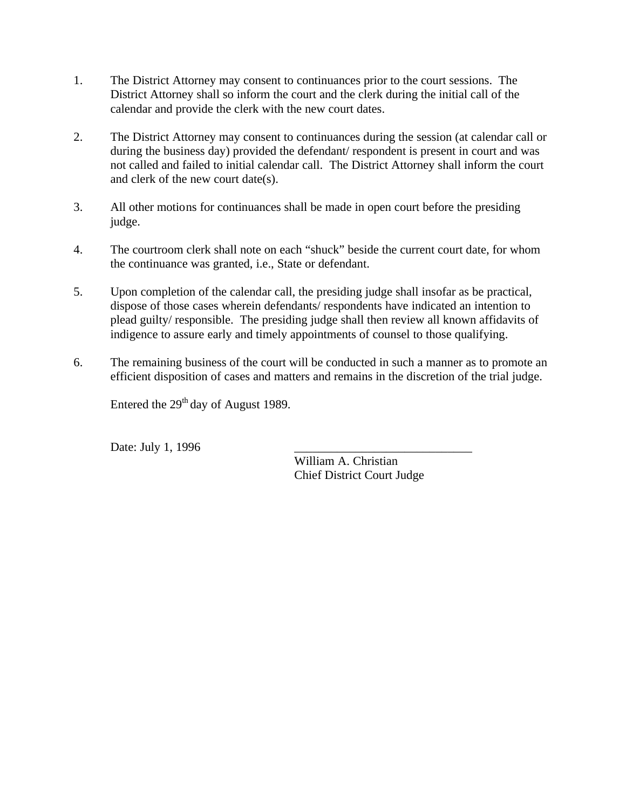- 1. The District Attorney may consent to continuances prior to the court sessions. The District Attorney shall so inform the court and the clerk during the initial call of the calendar and provide the clerk with the new court dates.
- 2. The District Attorney may consent to continuances during the session (at calendar call or during the business day) provided the defendant/ respondent is present in court and was not called and failed to initial calendar call. The District Attorney shall inform the court and clerk of the new court date(s).
- 3. All other motions for continuances shall be made in open court before the presiding judge.
- 4. The courtroom clerk shall note on each "shuck" beside the current court date, for whom the continuance was granted, i.e., State or defendant.
- 5. Upon completion of the calendar call, the presiding judge shall insofar as be practical, dispose of those cases wherein defendants/ respondents have indicated an intention to plead guilty/ responsible. The presiding judge shall then review all known affidavits of indigence to assure early and timely appointments of counsel to those qualifying.
- 6. The remaining business of the court will be conducted in such a manner as to promote an efficient disposition of cases and matters and remains in the discretion of the trial judge.

Entered the  $29<sup>th</sup>$  day of August 1989.

Date: July 1, 1996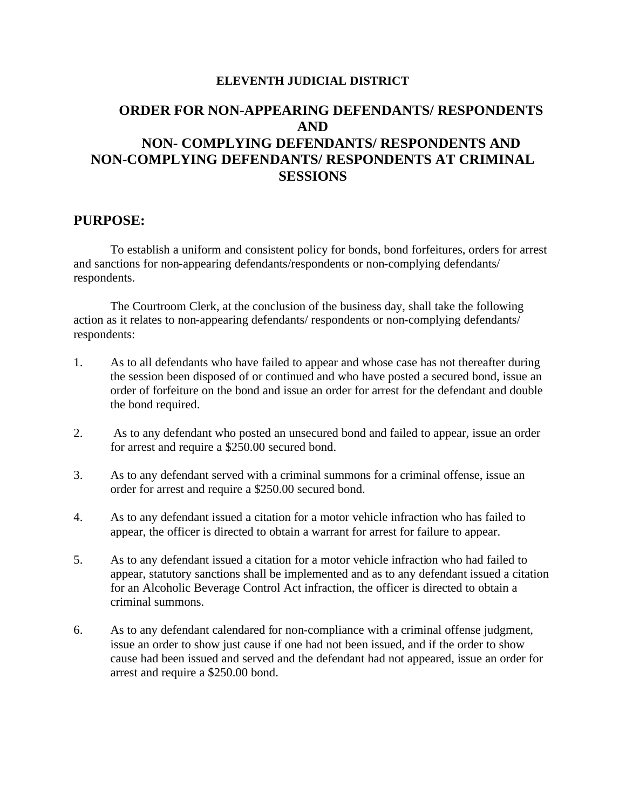#### **ELEVENTH JUDICIAL DISTRICT**

# **ORDER FOR NON-APPEARING DEFENDANTS/ RESPONDENTS AND NON- COMPLYING DEFENDANTS/ RESPONDENTS AND NON-COMPLYING DEFENDANTS/ RESPONDENTS AT CRIMINAL SESSIONS**

#### **PURPOSE:**

To establish a uniform and consistent policy for bonds, bond forfeitures, orders for arrest and sanctions for non-appearing defendants/respondents or non-complying defendants/ respondents.

The Courtroom Clerk, at the conclusion of the business day, shall take the following action as it relates to non-appearing defendants/ respondents or non-complying defendants/ respondents:

- 1. As to all defendants who have failed to appear and whose case has not thereafter during the session been disposed of or continued and who have posted a secured bond, issue an order of forfeiture on the bond and issue an order for arrest for the defendant and double the bond required.
- 2. As to any defendant who posted an unsecured bond and failed to appear, issue an order for arrest and require a \$250.00 secured bond.
- 3. As to any defendant served with a criminal summons for a criminal offense, issue an order for arrest and require a \$250.00 secured bond.
- 4. As to any defendant issued a citation for a motor vehicle infraction who has failed to appear, the officer is directed to obtain a warrant for arrest for failure to appear.
- 5. As to any defendant issued a citation for a motor vehicle infraction who had failed to appear, statutory sanctions shall be implemented and as to any defendant issued a citation for an Alcoholic Beverage Control Act infraction, the officer is directed to obtain a criminal summons.
- 6. As to any defendant calendared for non-compliance with a criminal offense judgment, issue an order to show just cause if one had not been issued, and if the order to show cause had been issued and served and the defendant had not appeared, issue an order for arrest and require a \$250.00 bond.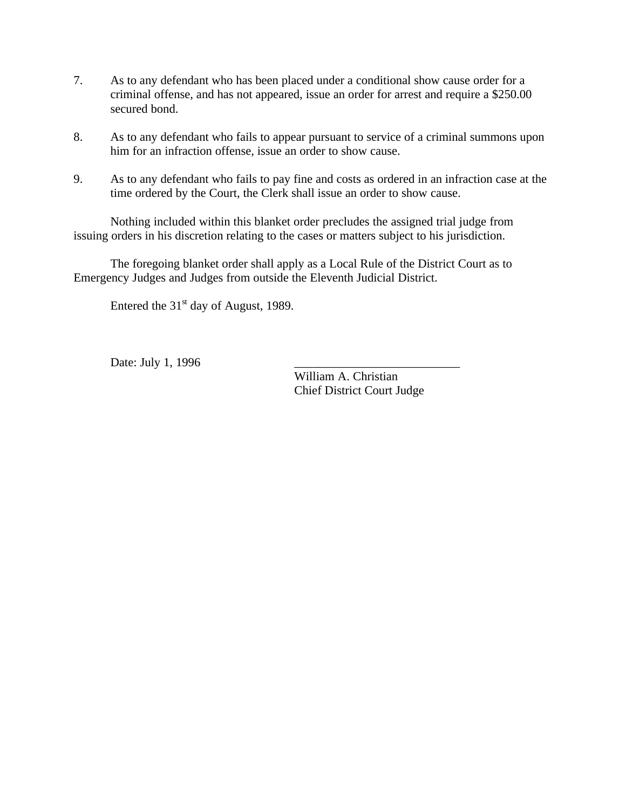- 7. As to any defendant who has been placed under a conditional show cause order for a criminal offense, and has not appeared, issue an order for arrest and require a \$250.00 secured bond.
- 8. As to any defendant who fails to appear pursuant to service of a criminal summons upon him for an infraction offense, issue an order to show cause.
- 9. As to any defendant who fails to pay fine and costs as ordered in an infraction case at the time ordered by the Court, the Clerk shall issue an order to show cause.

Nothing included within this blanket order precludes the assigned trial judge from issuing orders in his discretion relating to the cases or matters subject to his jurisdiction.

The foregoing blanket order shall apply as a Local Rule of the District Court as to Emergency Judges and Judges from outside the Eleventh Judicial District.

Entered the  $31<sup>st</sup>$  day of August, 1989.

Date: July 1, 1996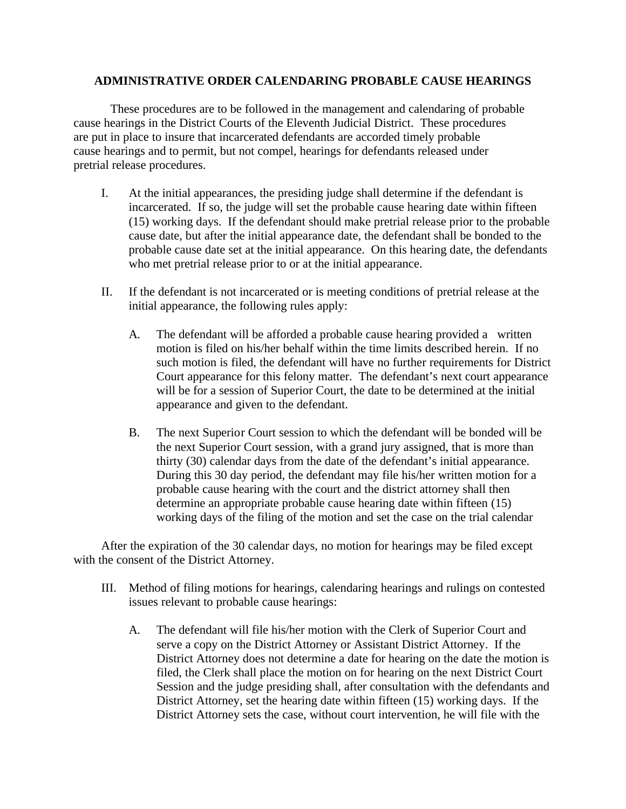#### **ADMINISTRATIVE ORDER CALENDARING PROBABLE CAUSE HEARINGS**

These procedures are to be followed in the management and calendaring of probable cause hearings in the District Courts of the Eleventh Judicial District. These procedures are put in place to insure that incarcerated defendants are accorded timely probable cause hearings and to permit, but not compel, hearings for defendants released under pretrial release procedures.

- I. At the initial appearances, the presiding judge shall determine if the defendant is incarcerated. If so, the judge will set the probable cause hearing date within fifteen (15) working days. If the defendant should make pretrial release prior to the probable cause date, but after the initial appearance date, the defendant shall be bonded to the probable cause date set at the initial appearance. On this hearing date, the defendants who met pretrial release prior to or at the initial appearance.
- II. If the defendant is not incarcerated or is meeting conditions of pretrial release at the initial appearance, the following rules apply:
	- A. The defendant will be afforded a probable cause hearing provided a written motion is filed on his/her behalf within the time limits described herein. If no such motion is filed, the defendant will have no further requirements for District Court appearance for this felony matter. The defendant's next court appearance will be for a session of Superior Court, the date to be determined at the initial appearance and given to the defendant.
	- B. The next Superior Court session to which the defendant will be bonded will be the next Superior Court session, with a grand jury assigned, that is more than thirty (30) calendar days from the date of the defendant's initial appearance. During this 30 day period, the defendant may file his/her written motion for a probable cause hearing with the court and the district attorney shall then determine an appropriate probable cause hearing date within fifteen (15) working days of the filing of the motion and set the case on the trial calendar

After the expiration of the 30 calendar days, no motion for hearings may be filed except with the consent of the District Attorney.

- III. Method of filing motions for hearings, calendaring hearings and rulings on contested issues relevant to probable cause hearings:
	- A. The defendant will file his/her motion with the Clerk of Superior Court and serve a copy on the District Attorney or Assistant District Attorney. If the District Attorney does not determine a date for hearing on the date the motion is filed, the Clerk shall place the motion on for hearing on the next District Court Session and the judge presiding shall, after consultation with the defendants and District Attorney, set the hearing date within fifteen (15) working days. If the District Attorney sets the case, without court intervention, he will file with the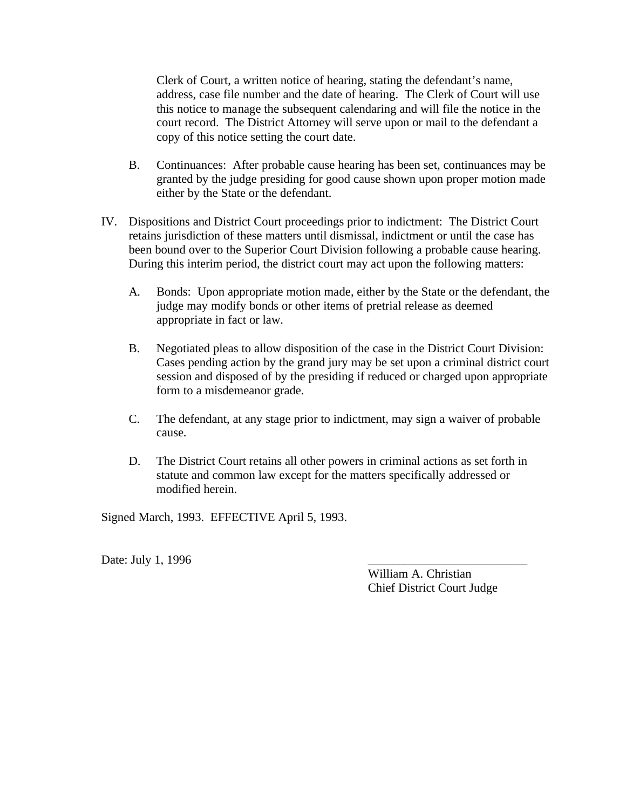Clerk of Court, a written notice of hearing, stating the defendant's name, address, case file number and the date of hearing. The Clerk of Court will use this notice to manage the subsequent calendaring and will file the notice in the court record. The District Attorney will serve upon or mail to the defendant a copy of this notice setting the court date.

- B. Continuances: After probable cause hearing has been set, continuances may be granted by the judge presiding for good cause shown upon proper motion made either by the State or the defendant.
- IV. Dispositions and District Court proceedings prior to indictment: The District Court retains jurisdiction of these matters until dismissal, indictment or until the case has been bound over to the Superior Court Division following a probable cause hearing. During this interim period, the district court may act upon the following matters:
	- A. Bonds: Upon appropriate motion made, either by the State or the defendant, the judge may modify bonds or other items of pretrial release as deemed appropriate in fact or law.
	- B. Negotiated pleas to allow disposition of the case in the District Court Division: Cases pending action by the grand jury may be set upon a criminal district court session and disposed of by the presiding if reduced or charged upon appropriate form to a misdemeanor grade.
	- C. The defendant, at any stage prior to indictment, may sign a waiver of probable cause.
	- D. The District Court retains all other powers in criminal actions as set forth in statute and common law except for the matters specifically addressed or modified herein.

Signed March, 1993. EFFECTIVE April 5, 1993.

Date: July 1, 1996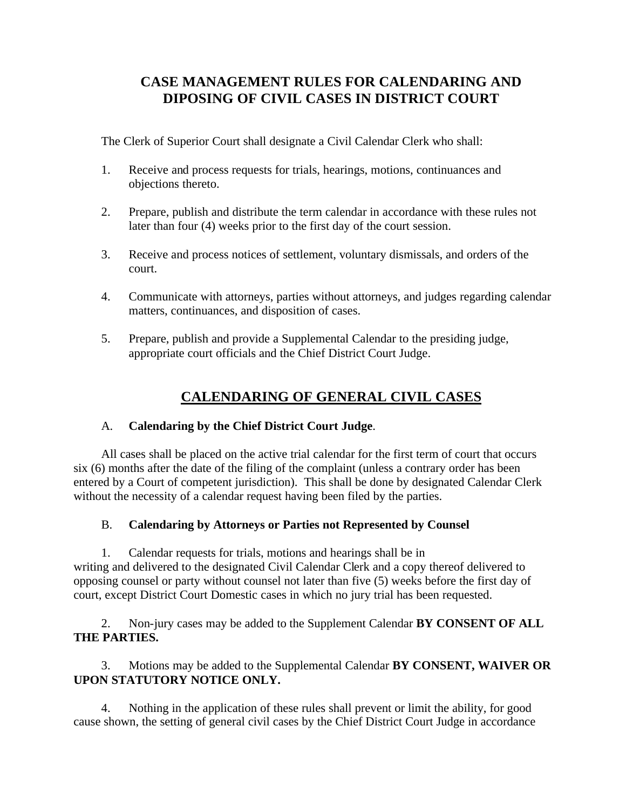# **CASE MANAGEMENT RULES FOR CALENDARING AND DIPOSING OF CIVIL CASES IN DISTRICT COURT**

The Clerk of Superior Court shall designate a Civil Calendar Clerk who shall:

- 1. Receive and process requests for trials, hearings, motions, continuances and objections thereto.
- 2. Prepare, publish and distribute the term calendar in accordance with these rules not later than four (4) weeks prior to the first day of the court session.
- 3. Receive and process notices of settlement, voluntary dismissals, and orders of the court.
- 4. Communicate with attorneys, parties without attorneys, and judges regarding calendar matters, continuances, and disposition of cases.
- 5. Prepare, publish and provide a Supplemental Calendar to the presiding judge, appropriate court officials and the Chief District Court Judge.

# **CALENDARING OF GENERAL CIVIL CASES**

#### A. **Calendaring by the Chief District Court Judge**.

All cases shall be placed on the active trial calendar for the first term of court that occurs six (6) months after the date of the filing of the complaint (unless a contrary order has been entered by a Court of competent jurisdiction). This shall be done by designated Calendar Clerk without the necessity of a calendar request having been filed by the parties.

#### B. **Calendaring by Attorneys or Parties not Represented by Counsel**

1. Calendar requests for trials, motions and hearings shall be in writing and delivered to the designated Civil Calendar Clerk and a copy thereof delivered to opposing counsel or party without counsel not later than five (5) weeks before the first day of court, except District Court Domestic cases in which no jury trial has been requested.

2. Non-jury cases may be added to the Supplement Calendar **BY CONSENT OF ALL THE PARTIES.**

3. Motions may be added to the Supplemental Calendar **BY CONSENT, WAIVER OR UPON STATUTORY NOTICE ONLY.** 

4. Nothing in the application of these rules shall prevent or limit the ability, for good cause shown, the setting of general civil cases by the Chief District Court Judge in accordance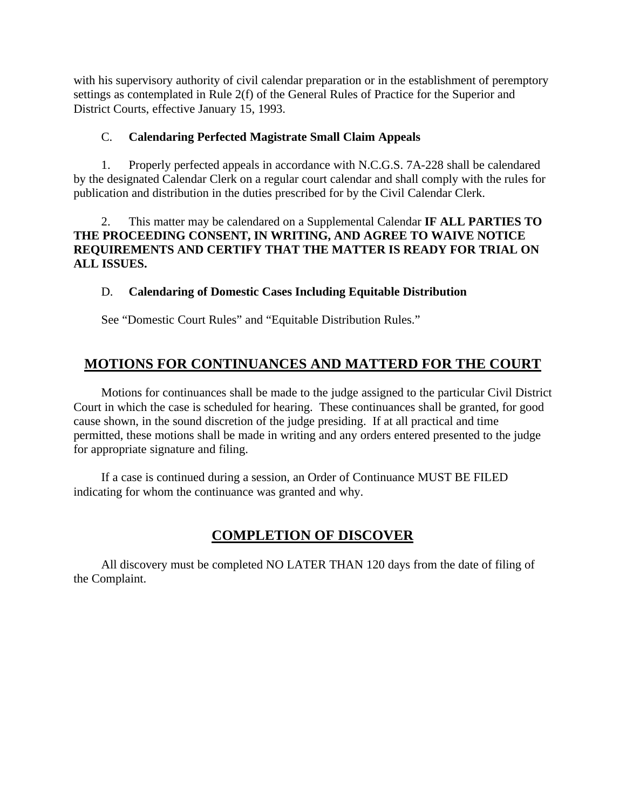with his supervisory authority of civil calendar preparation or in the establishment of peremptory settings as contemplated in Rule 2(f) of the General Rules of Practice for the Superior and District Courts, effective January 15, 1993.

#### C. **Calendaring Perfected Magistrate Small Claim Appeals**

1. Properly perfected appeals in accordance with N.C.G.S. 7A-228 shall be calendared by the designated Calendar Clerk on a regular court calendar and shall comply with the rules for publication and distribution in the duties prescribed for by the Civil Calendar Clerk.

2. This matter may be calendared on a Supplemental Calendar **IF ALL PARTIES TO THE PROCEEDING CONSENT, IN WRITING, AND AGREE TO WAIVE NOTICE REQUIREMENTS AND CERTIFY THAT THE MATTER IS READY FOR TRIAL ON ALL ISSUES.**

## D. **Calendaring of Domestic Cases Including Equitable Distribution**

See "Domestic Court Rules" and "Equitable Distribution Rules."

# **MOTIONS FOR CONTINUANCES AND MATTERD FOR THE COURT**

Motions for continuances shall be made to the judge assigned to the particular Civil District Court in which the case is scheduled for hearing. These continuances shall be granted, for good cause shown, in the sound discretion of the judge presiding. If at all practical and time permitted, these motions shall be made in writing and any orders entered presented to the judge for appropriate signature and filing.

If a case is continued during a session, an Order of Continuance MUST BE FILED indicating for whom the continuance was granted and why.

# **COMPLETION OF DISCOVER**

All discovery must be completed NO LATER THAN 120 days from the date of filing of the Complaint.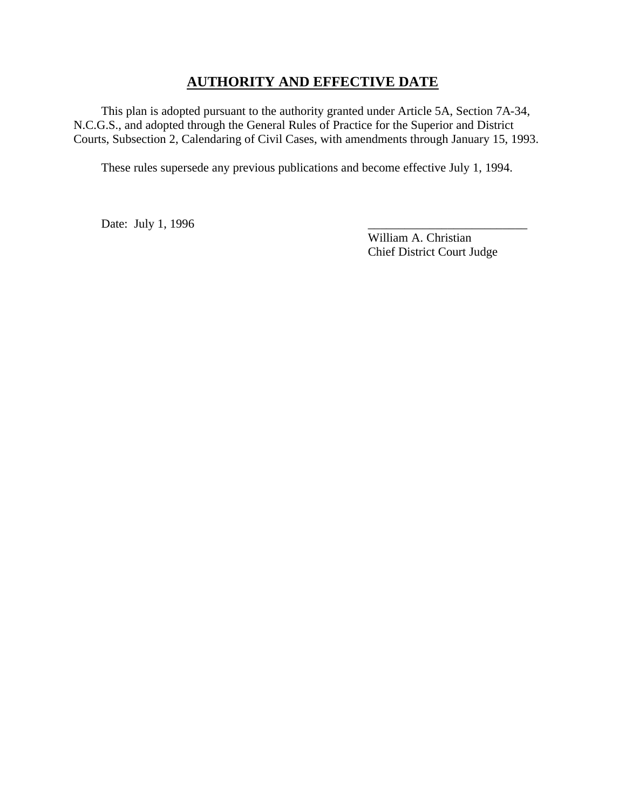## **AUTHORITY AND EFFECTIVE DATE**

This plan is adopted pursuant to the authority granted under Article 5A, Section 7A-34, N.C.G.S., and adopted through the General Rules of Practice for the Superior and District Courts, Subsection 2, Calendaring of Civil Cases, with amendments through January 15, 1993.

These rules supersede any previous publications and become effective July 1, 1994.

Date: July 1, 1996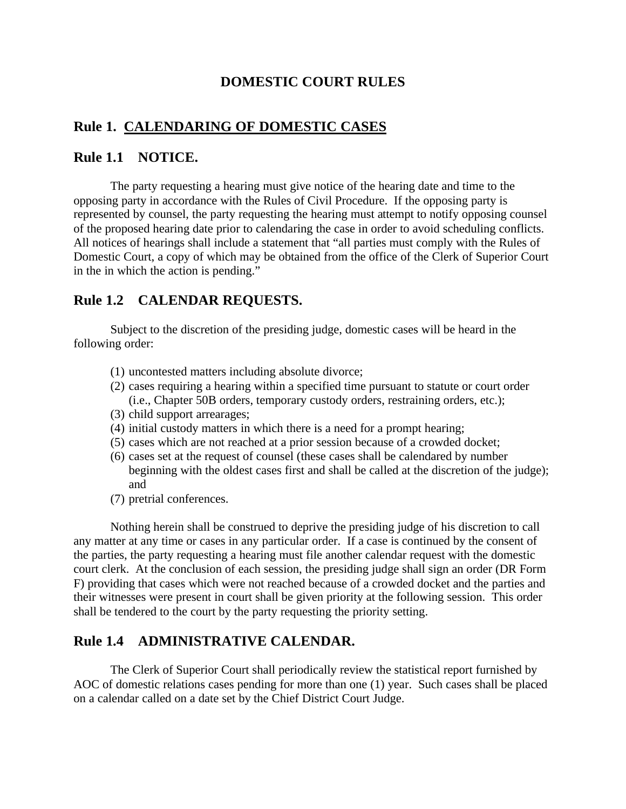## **DOMESTIC COURT RULES**

## **Rule 1. CALENDARING OF DOMESTIC CASES**

#### **Rule 1.1 NOTICE.**

The party requesting a hearing must give notice of the hearing date and time to the opposing party in accordance with the Rules of Civil Procedure. If the opposing party is represented by counsel, the party requesting the hearing must attempt to notify opposing counsel of the proposed hearing date prior to calendaring the case in order to avoid scheduling conflicts. All notices of hearings shall include a statement that "all parties must comply with the Rules of Domestic Court, a copy of which may be obtained from the office of the Clerk of Superior Court in the in which the action is pending."

## **Rule 1.2 CALENDAR REQUESTS.**

Subject to the discretion of the presiding judge, domestic cases will be heard in the following order:

- (1) uncontested matters including absolute divorce;
- (2) cases requiring a hearing within a specified time pursuant to statute or court order (i.e., Chapter 50B orders, temporary custody orders, restraining orders, etc.);
- (3) child support arrearages;
- (4) initial custody matters in which there is a need for a prompt hearing;
- (5) cases which are not reached at a prior session because of a crowded docket;
- (6) cases set at the request of counsel (these cases shall be calendared by number beginning with the oldest cases first and shall be called at the discretion of the judge); and
- (7) pretrial conferences.

Nothing herein shall be construed to deprive the presiding judge of his discretion to call any matter at any time or cases in any particular order. If a case is continued by the consent of the parties, the party requesting a hearing must file another calendar request with the domestic court clerk. At the conclusion of each session, the presiding judge shall sign an order (DR Form F) providing that cases which were not reached because of a crowded docket and the parties and their witnesses were present in court shall be given priority at the following session. This order shall be tendered to the court by the party requesting the priority setting.

## **Rule 1.4 ADMINISTRATIVE CALENDAR.**

The Clerk of Superior Court shall periodically review the statistical report furnished by AOC of domestic relations cases pending for more than one (1) year. Such cases shall be placed on a calendar called on a date set by the Chief District Court Judge.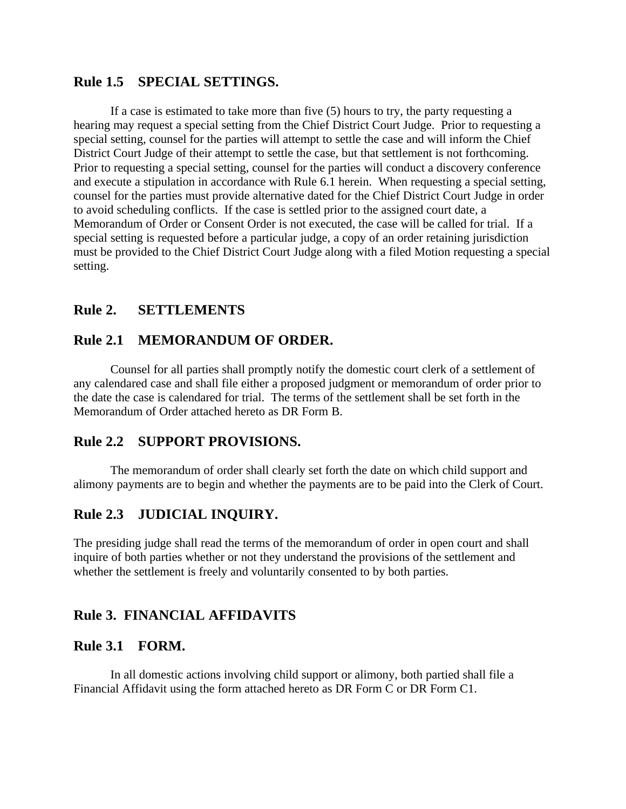#### **Rule 1.5 SPECIAL SETTINGS.**

If a case is estimated to take more than five (5) hours to try, the party requesting a hearing may request a special setting from the Chief District Court Judge. Prior to requesting a special setting, counsel for the parties will attempt to settle the case and will inform the Chief District Court Judge of their attempt to settle the case, but that settlement is not forthcoming. Prior to requesting a special setting, counsel for the parties will conduct a discovery conference and execute a stipulation in accordance with Rule 6.1 herein. When requesting a special setting, counsel for the parties must provide alternative dated for the Chief District Court Judge in order to avoid scheduling conflicts. If the case is settled prior to the assigned court date, a Memorandum of Order or Consent Order is not executed, the case will be called for trial. If a special setting is requested before a particular judge, a copy of an order retaining jurisdiction must be provided to the Chief District Court Judge along with a filed Motion requesting a special setting.

#### **Rule 2. SETTLEMENTS**

#### **Rule 2.1 MEMORANDUM OF ORDER.**

Counsel for all parties shall promptly notify the domestic court clerk of a settlement of any calendared case and shall file either a proposed judgment or memorandum of order prior to the date the case is calendared for trial. The terms of the settlement shall be set forth in the Memorandum of Order attached hereto as DR Form B.

#### **Rule 2.2 SUPPORT PROVISIONS.**

The memorandum of order shall clearly set forth the date on which child support and alimony payments are to begin and whether the payments are to be paid into the Clerk of Court.

## **Rule 2.3 JUDICIAL INQUIRY.**

The presiding judge shall read the terms of the memorandum of order in open court and shall inquire of both parties whether or not they understand the provisions of the settlement and whether the settlement is freely and voluntarily consented to by both parties.

## **Rule 3. FINANCIAL AFFIDAVITS**

#### **Rule 3.1 FORM.**

In all domestic actions involving child support or alimony, both partied shall file a Financial Affidavit using the form attached hereto as DR Form C or DR Form C1.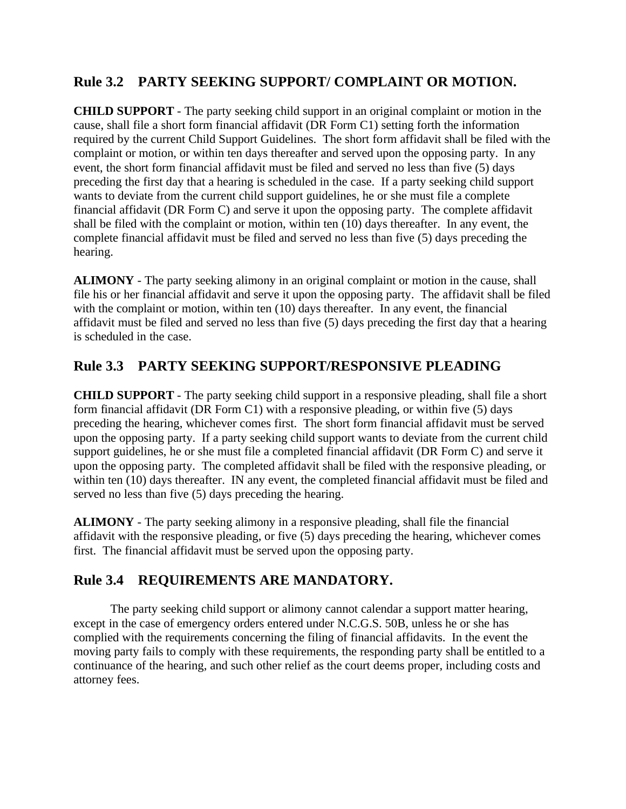# **Rule 3.2 PARTY SEEKING SUPPORT/ COMPLAINT OR MOTION.**

**CHILD SUPPORT** - The party seeking child support in an original complaint or motion in the cause, shall file a short form financial affidavit (DR Form C1) setting forth the information required by the current Child Support Guidelines. The short form affidavit shall be filed with the complaint or motion, or within ten days thereafter and served upon the opposing party. In any event, the short form financial affidavit must be filed and served no less than five (5) days preceding the first day that a hearing is scheduled in the case. If a party seeking child support wants to deviate from the current child support guidelines, he or she must file a complete financial affidavit (DR Form C) and serve it upon the opposing party. The complete affidavit shall be filed with the complaint or motion, within ten (10) days thereafter. In any event, the complete financial affidavit must be filed and served no less than five (5) days preceding the hearing.

**ALIMONY** - The party seeking alimony in an original complaint or motion in the cause, shall file his or her financial affidavit and serve it upon the opposing party. The affidavit shall be filed with the complaint or motion, within ten (10) days thereafter. In any event, the financial affidavit must be filed and served no less than five (5) days preceding the first day that a hearing is scheduled in the case.

# **Rule 3.3 PARTY SEEKING SUPPORT/RESPONSIVE PLEADING**

**CHILD SUPPORT** - The party seeking child support in a responsive pleading, shall file a short form financial affidavit (DR Form C1) with a responsive pleading, or within five (5) days preceding the hearing, whichever comes first. The short form financial affidavit must be served upon the opposing party. If a party seeking child support wants to deviate from the current child support guidelines, he or she must file a completed financial affidavit (DR Form C) and serve it upon the opposing party. The completed affidavit shall be filed with the responsive pleading, or within ten (10) days thereafter. IN any event, the completed financial affidavit must be filed and served no less than five (5) days preceding the hearing.

**ALIMONY** - The party seeking alimony in a responsive pleading, shall file the financial affidavit with the responsive pleading, or five (5) days preceding the hearing, whichever comes first. The financial affidavit must be served upon the opposing party.

# **Rule 3.4 REQUIREMENTS ARE MANDATORY.**

The party seeking child support or alimony cannot calendar a support matter hearing, except in the case of emergency orders entered under N.C.G.S. 50B, unless he or she has complied with the requirements concerning the filing of financial affidavits. In the event the moving party fails to comply with these requirements, the responding party shall be entitled to a continuance of the hearing, and such other relief as the court deems proper, including costs and attorney fees.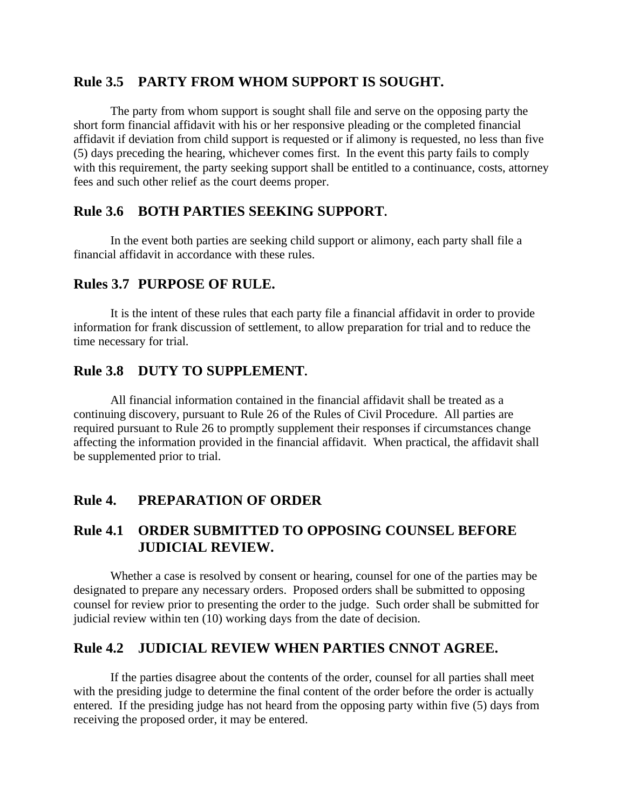## **Rule 3.5 PARTY FROM WHOM SUPPORT IS SOUGHT.**

The party from whom support is sought shall file and serve on the opposing party the short form financial affidavit with his or her responsive pleading or the completed financial affidavit if deviation from child support is requested or if alimony is requested, no less than five (5) days preceding the hearing, whichever comes first. In the event this party fails to comply with this requirement, the party seeking support shall be entitled to a continuance, costs, attorney fees and such other relief as the court deems proper.

## **Rule 3.6 BOTH PARTIES SEEKING SUPPORT.**

In the event both parties are seeking child support or alimony, each party shall file a financial affidavit in accordance with these rules.

## **Rules 3.7 PURPOSE OF RULE.**

It is the intent of these rules that each party file a financial affidavit in order to provide information for frank discussion of settlement, to allow preparation for trial and to reduce the time necessary for trial.

## **Rule 3.8 DUTY TO SUPPLEMENT.**

All financial information contained in the financial affidavit shall be treated as a continuing discovery, pursuant to Rule 26 of the Rules of Civil Procedure. All parties are required pursuant to Rule 26 to promptly supplement their responses if circumstances change affecting the information provided in the financial affidavit. When practical, the affidavit shall be supplemented prior to trial.

# **Rule 4. PREPARATION OF ORDER**

## **Rule 4.1 ORDER SUBMITTED TO OPPOSING COUNSEL BEFORE JUDICIAL REVIEW.**

Whether a case is resolved by consent or hearing, counsel for one of the parties may be designated to prepare any necessary orders. Proposed orders shall be submitted to opposing counsel for review prior to presenting the order to the judge. Such order shall be submitted for judicial review within ten (10) working days from the date of decision.

## **Rule 4.2 JUDICIAL REVIEW WHEN PARTIES CNNOT AGREE.**

If the parties disagree about the contents of the order, counsel for all parties shall meet with the presiding judge to determine the final content of the order before the order is actually entered. If the presiding judge has not heard from the opposing party within five (5) days from receiving the proposed order, it may be entered.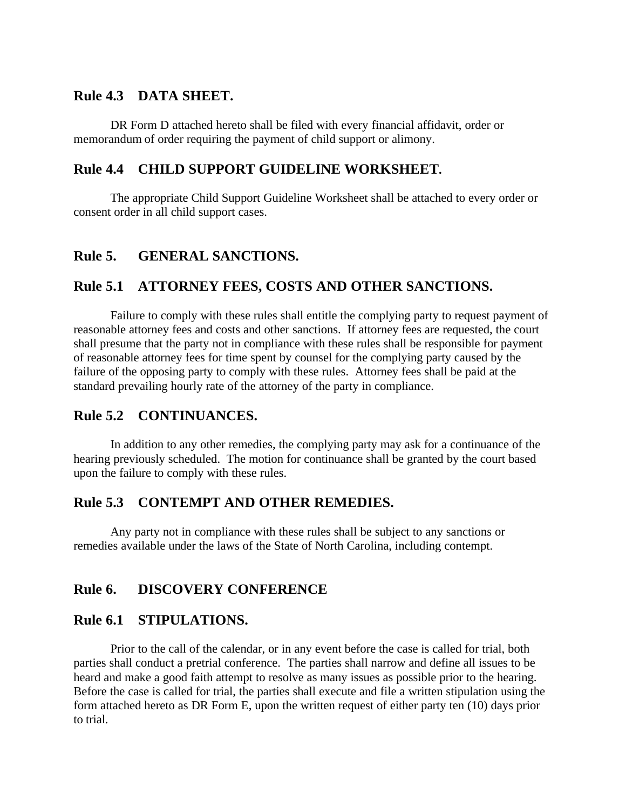#### **Rule 4.3 DATA SHEET.**

DR Form D attached hereto shall be filed with every financial affidavit, order or memorandum of order requiring the payment of child support or alimony.

## **Rule 4.4 CHILD SUPPORT GUIDELINE WORKSHEET.**

The appropriate Child Support Guideline Worksheet shall be attached to every order or consent order in all child support cases.

#### **Rule 5. GENERAL SANCTIONS.**

#### **Rule 5.1 ATTORNEY FEES, COSTS AND OTHER SANCTIONS.**

Failure to comply with these rules shall entitle the complying party to request payment of reasonable attorney fees and costs and other sanctions. If attorney fees are requested, the court shall presume that the party not in compliance with these rules shall be responsible for payment of reasonable attorney fees for time spent by counsel for the complying party caused by the failure of the opposing party to comply with these rules. Attorney fees shall be paid at the standard prevailing hourly rate of the attorney of the party in compliance.

#### **Rule 5.2 CONTINUANCES.**

In addition to any other remedies, the complying party may ask for a continuance of the hearing previously scheduled. The motion for continuance shall be granted by the court based upon the failure to comply with these rules.

#### **Rule 5.3 CONTEMPT AND OTHER REMEDIES.**

Any party not in compliance with these rules shall be subject to any sanctions or remedies available under the laws of the State of North Carolina, including contempt.

## **Rule 6. DISCOVERY CONFERENCE**

#### **Rule 6.1 STIPULATIONS.**

Prior to the call of the calendar, or in any event before the case is called for trial, both parties shall conduct a pretrial conference. The parties shall narrow and define all issues to be heard and make a good faith attempt to resolve as many issues as possible prior to the hearing. Before the case is called for trial, the parties shall execute and file a written stipulation using the form attached hereto as DR Form E, upon the written request of either party ten (10) days prior to trial.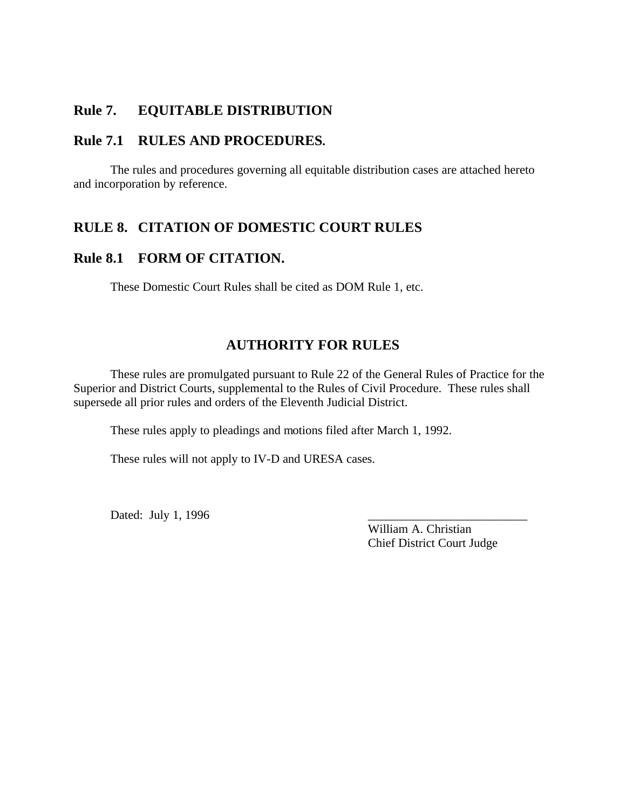#### **Rule 7. EQUITABLE DISTRIBUTION**

#### **Rule 7.1 RULES AND PROCEDURES.**

The rules and procedures governing all equitable distribution cases are attached hereto and incorporation by reference.

#### **RULE 8. CITATION OF DOMESTIC COURT RULES**

#### **Rule 8.1 FORM OF CITATION.**

These Domestic Court Rules shall be cited as DOM Rule 1, etc.

# **AUTHORITY FOR RULES**

These rules are promulgated pursuant to Rule 22 of the General Rules of Practice for the Superior and District Courts, supplemental to the Rules of Civil Procedure. These rules shall supersede all prior rules and orders of the Eleventh Judicial District.

These rules apply to pleadings and motions filed after March 1, 1992.

These rules will not apply to IV-D and URESA cases.

Dated: July 1, 1996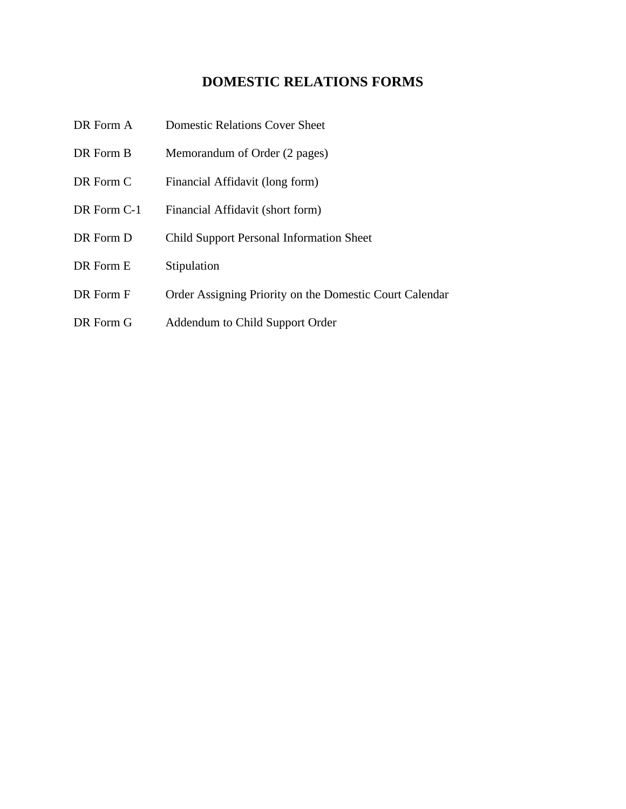# **DOMESTIC RELATIONS FORMS**

- DR Form A Domestic Relations Cover Sheet
- DR Form B Memorandum of Order (2 pages)
- DR Form C Financial Affidavit (long form)
- DR Form C-1 Financial Affidavit (short form)
- DR Form D Child Support Personal Information Sheet
- DR Form E Stipulation
- DR Form F Order Assigning Priority on the Domestic Court Calendar
- DR Form G Addendum to Child Support Order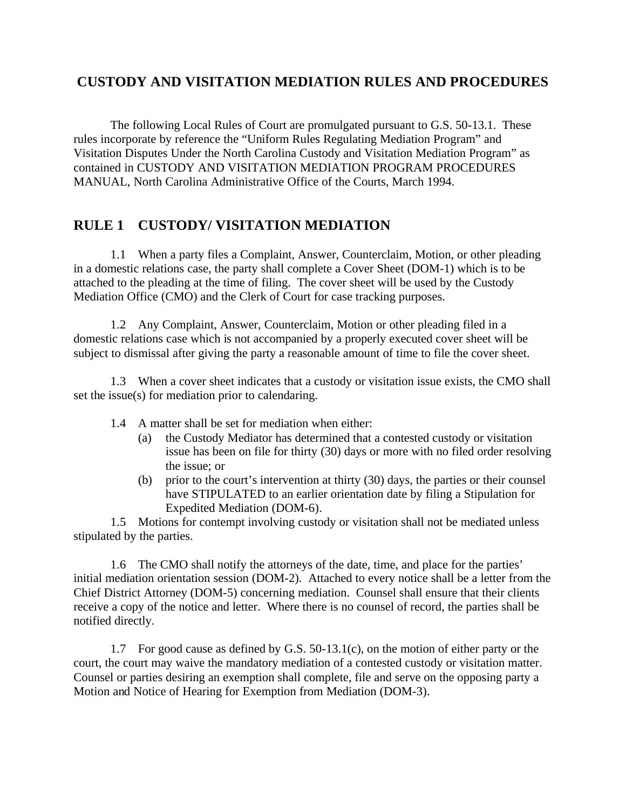# **CUSTODY AND VISITATION MEDIATION RULES AND PROCEDURES**

The following Local Rules of Court are promulgated pursuant to G.S. 50-13.1. These rules incorporate by reference the "Uniform Rules Regulating Mediation Program" and Visitation Disputes Under the North Carolina Custody and Visitation Mediation Program" as contained in CUSTODY AND VISITATION MEDIATION PROGRAM PROCEDURES MANUAL, North Carolina Administrative Office of the Courts, March 1994.

## **RULE 1 CUSTODY/ VISITATION MEDIATION**

1.1 When a party files a Complaint, Answer, Counterclaim, Motion, or other pleading in a domestic relations case, the party shall complete a Cover Sheet (DOM-1) which is to be attached to the pleading at the time of filing. The cover sheet will be used by the Custody Mediation Office (CMO) and the Clerk of Court for case tracking purposes.

1.2 Any Complaint, Answer, Counterclaim, Motion or other pleading filed in a domestic relations case which is not accompanied by a properly executed cover sheet will be subject to dismissal after giving the party a reasonable amount of time to file the cover sheet.

1.3 When a cover sheet indicates that a custody or visitation issue exists, the CMO shall set the issue(s) for mediation prior to calendaring.

- 1.4 A matter shall be set for mediation when either:
	- (a) the Custody Mediator has determined that a contested custody or visitation issue has been on file for thirty (30) days or more with no filed order resolving the issue; or
	- (b) prior to the court's intervention at thirty (30) days, the parties or their counsel have STIPULATED to an earlier orientation date by filing a Stipulation for Expedited Mediation (DOM-6).

1.5 Motions for contempt involving custody or visitation shall not be mediated unless stipulated by the parties.

1.6 The CMO shall notify the attorneys of the date, time, and place for the parties' initial mediation orientation session (DOM-2). Attached to every notice shall be a letter from the Chief District Attorney (DOM-5) concerning mediation. Counsel shall ensure that their clients receive a copy of the notice and letter. Where there is no counsel of record, the parties shall be notified directly.

1.7 For good cause as defined by G.S. 50-13.1(c), on the motion of either party or the court, the court may waive the mandatory mediation of a contested custody or visitation matter. Counsel or parties desiring an exemption shall complete, file and serve on the opposing party a Motion and Notice of Hearing for Exemption from Mediation (DOM-3).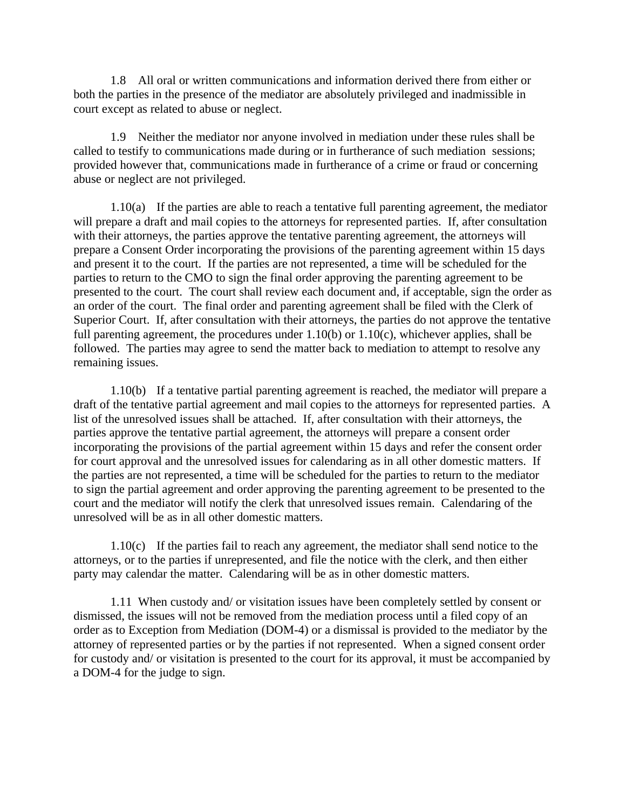1.8 All oral or written communications and information derived there from either or both the parties in the presence of the mediator are absolutely privileged and inadmissible in court except as related to abuse or neglect.

1.9 Neither the mediator nor anyone involved in mediation under these rules shall be called to testify to communications made during or in furtherance of such mediation sessions; provided however that, communications made in furtherance of a crime or fraud or concerning abuse or neglect are not privileged.

1.10(a) If the parties are able to reach a tentative full parenting agreement, the mediator will prepare a draft and mail copies to the attorneys for represented parties. If, after consultation with their attorneys, the parties approve the tentative parenting agreement, the attorneys will prepare a Consent Order incorporating the provisions of the parenting agreement within 15 days and present it to the court. If the parties are not represented, a time will be scheduled for the parties to return to the CMO to sign the final order approving the parenting agreement to be presented to the court. The court shall review each document and, if acceptable, sign the order as an order of the court. The final order and parenting agreement shall be filed with the Clerk of Superior Court. If, after consultation with their attorneys, the parties do not approve the tentative full parenting agreement, the procedures under 1.10(b) or 1.10(c), whichever applies, shall be followed. The parties may agree to send the matter back to mediation to attempt to resolve any remaining issues.

1.10(b) If a tentative partial parenting agreement is reached, the mediator will prepare a draft of the tentative partial agreement and mail copies to the attorneys for represented parties. A list of the unresolved issues shall be attached. If, after consultation with their attorneys, the parties approve the tentative partial agreement, the attorneys will prepare a consent order incorporating the provisions of the partial agreement within 15 days and refer the consent order for court approval and the unresolved issues for calendaring as in all other domestic matters. If the parties are not represented, a time will be scheduled for the parties to return to the mediator to sign the partial agreement and order approving the parenting agreement to be presented to the court and the mediator will notify the clerk that unresolved issues remain. Calendaring of the unresolved will be as in all other domestic matters.

1.10(c) If the parties fail to reach any agreement, the mediator shall send notice to the attorneys, or to the parties if unrepresented, and file the notice with the clerk, and then either party may calendar the matter. Calendaring will be as in other domestic matters.

1.11 When custody and/ or visitation issues have been completely settled by consent or dismissed, the issues will not be removed from the mediation process until a filed copy of an order as to Exception from Mediation (DOM-4) or a dismissal is provided to the mediator by the attorney of represented parties or by the parties if not represented. When a signed consent order for custody and/ or visitation is presented to the court for its approval, it must be accompanied by a DOM-4 for the judge to sign.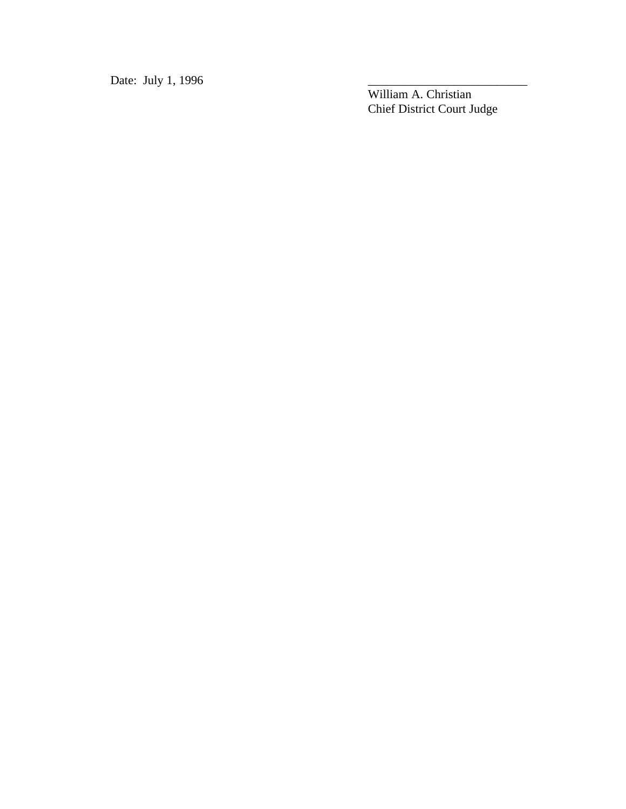Date: July 1, 1996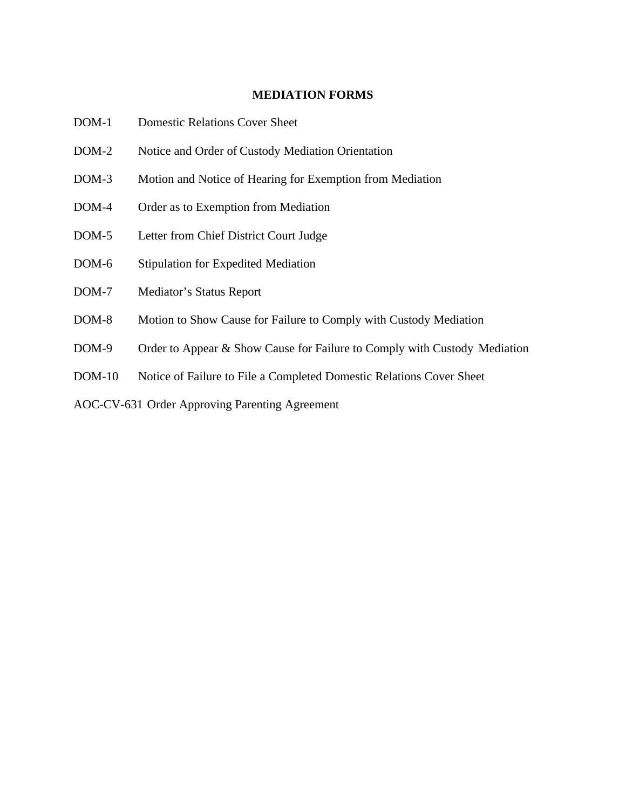#### **MEDIATION FORMS**

- DOM-1 Domestic Relations Cover Sheet
- DOM-2 Notice and Order of Custody Mediation Orientation
- DOM-3 Motion and Notice of Hearing for Exemption from Mediation
- DOM-4 Order as to Exemption from Mediation
- DOM-5 Letter from Chief District Court Judge
- DOM-6 Stipulation for Expedited Mediation
- DOM-7 Mediator's Status Report
- DOM-8 Motion to Show Cause for Failure to Comply with Custody Mediation
- DOM-9 Order to Appear & Show Cause for Failure to Comply with Custody Mediation
- DOM-10 Notice of Failure to File a Completed Domestic Relations Cover Sheet

AOC-CV-631 Order Approving Parenting Agreement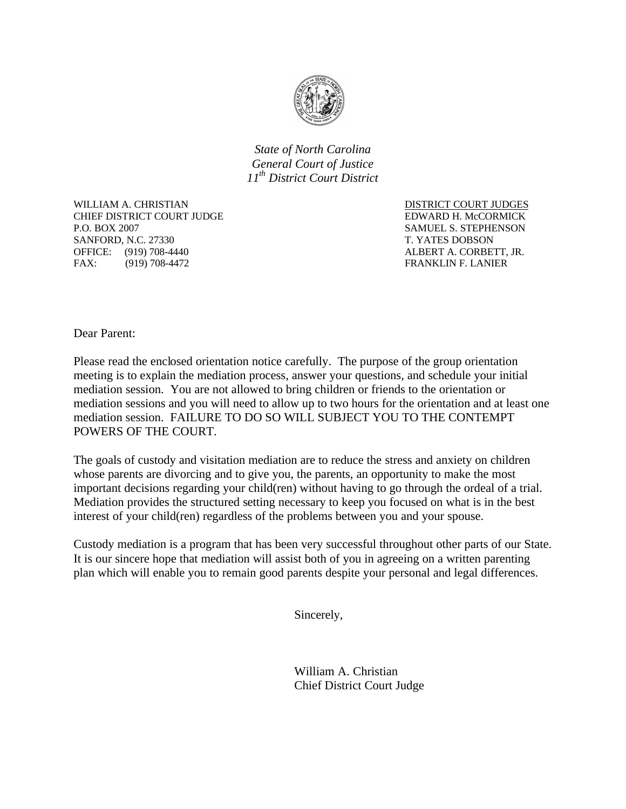

*State of North Carolina General Court of Justice 11th District Court District*

WILLIAM A. CHRISTIAN DISTRICT COURT JUDGES CHIEF DISTRICT COURT JUDGE THE SERVE EDWARD H. McCORMICK P.O. BOX 2007 SAMUEL S. STEPHENSON SANFORD, N.C. 27330 T. YATES DOBSON OFFICE: (919) 708-4440 ALBERT A. CORBETT, JR. FAX: (919) 708-4472 FRANKLIN F. LANIER

Dear Parent:

Please read the enclosed orientation notice carefully. The purpose of the group orientation meeting is to explain the mediation process, answer your questions, and schedule your initial mediation session. You are not allowed to bring children or friends to the orientation or mediation sessions and you will need to allow up to two hours for the orientation and at least one mediation session. FAILURE TO DO SO WILL SUBJECT YOU TO THE CONTEMPT POWERS OF THE COURT.

The goals of custody and visitation mediation are to reduce the stress and anxiety on children whose parents are divorcing and to give you, the parents, an opportunity to make the most important decisions regarding your child(ren) without having to go through the ordeal of a trial. Mediation provides the structured setting necessary to keep you focused on what is in the best interest of your child(ren) regardless of the problems between you and your spouse.

Custody mediation is a program that has been very successful throughout other parts of our State. It is our sincere hope that mediation will assist both of you in agreeing on a written parenting plan which will enable you to remain good parents despite your personal and legal differences.

Sincerely,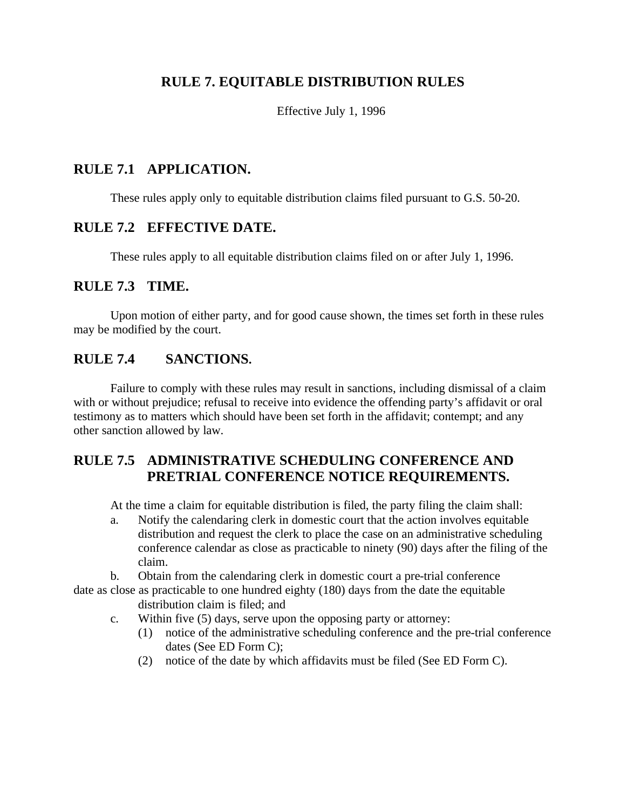## **RULE 7. EQUITABLE DISTRIBUTION RULES**

Effective July 1, 1996

## **RULE 7.1 APPLICATION.**

These rules apply only to equitable distribution claims filed pursuant to G.S. 50-20.

#### **RULE 7.2 EFFECTIVE DATE.**

These rules apply to all equitable distribution claims filed on or after July 1, 1996.

#### **RULE 7.3 TIME.**

Upon motion of either party, and for good cause shown, the times set forth in these rules may be modified by the court.

#### **RULE 7.4 SANCTIONS.**

Failure to comply with these rules may result in sanctions, including dismissal of a claim with or without prejudice; refusal to receive into evidence the offending party's affidavit or oral testimony as to matters which should have been set forth in the affidavit; contempt; and any other sanction allowed by law.

## **RULE 7.5 ADMINISTRATIVE SCHEDULING CONFERENCE AND PRETRIAL CONFERENCE NOTICE REQUIREMENTS.**

At the time a claim for equitable distribution is filed, the party filing the claim shall:

a. Notify the calendaring clerk in domestic court that the action involves equitable distribution and request the clerk to place the case on an administrative scheduling conference calendar as close as practicable to ninety (90) days after the filing of the claim.

b. Obtain from the calendaring clerk in domestic court a pre-trial conference

date as close as practicable to one hundred eighty (180) days from the date the equitable distribution claim is filed; and

- c. Within five (5) days, serve upon the opposing party or attorney:
	- (1) notice of the administrative scheduling conference and the pre-trial conference dates (See ED Form C);
	- (2) notice of the date by which affidavits must be filed (See ED Form C).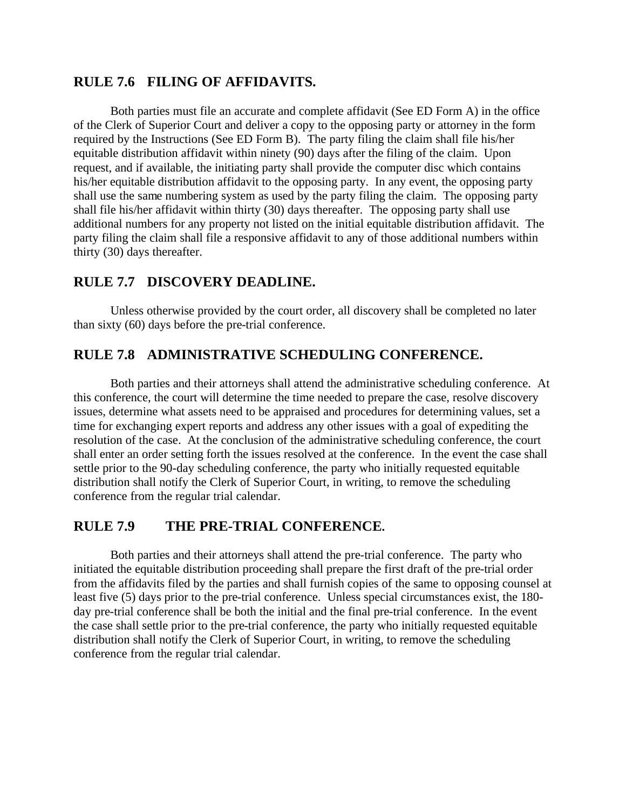## **RULE 7.6 FILING OF AFFIDAVITS.**

Both parties must file an accurate and complete affidavit (See ED Form A) in the office of the Clerk of Superior Court and deliver a copy to the opposing party or attorney in the form required by the Instructions (See ED Form B). The party filing the claim shall file his/her equitable distribution affidavit within ninety (90) days after the filing of the claim. Upon request, and if available, the initiating party shall provide the computer disc which contains his/her equitable distribution affidavit to the opposing party. In any event, the opposing party shall use the same numbering system as used by the party filing the claim. The opposing party shall file his/her affidavit within thirty (30) days thereafter. The opposing party shall use additional numbers for any property not listed on the initial equitable distribution affidavit. The party filing the claim shall file a responsive affidavit to any of those additional numbers within thirty (30) days thereafter.

#### **RULE 7.7 DISCOVERY DEADLINE.**

Unless otherwise provided by the court order, all discovery shall be completed no later than sixty (60) days before the pre-trial conference.

#### **RULE 7.8 ADMINISTRATIVE SCHEDULING CONFERENCE.**

Both parties and their attorneys shall attend the administrative scheduling conference. At this conference, the court will determine the time needed to prepare the case, resolve discovery issues, determine what assets need to be appraised and procedures for determining values, set a time for exchanging expert reports and address any other issues with a goal of expediting the resolution of the case. At the conclusion of the administrative scheduling conference, the court shall enter an order setting forth the issues resolved at the conference. In the event the case shall settle prior to the 90-day scheduling conference, the party who initially requested equitable distribution shall notify the Clerk of Superior Court, in writing, to remove the scheduling conference from the regular trial calendar.

#### **RULE 7.9 THE PRE-TRIAL CONFERENCE.**

Both parties and their attorneys shall attend the pre-trial conference. The party who initiated the equitable distribution proceeding shall prepare the first draft of the pre-trial order from the affidavits filed by the parties and shall furnish copies of the same to opposing counsel at least five (5) days prior to the pre-trial conference. Unless special circumstances exist, the 180 day pre-trial conference shall be both the initial and the final pre-trial conference. In the event the case shall settle prior to the pre-trial conference, the party who initially requested equitable distribution shall notify the Clerk of Superior Court, in writing, to remove the scheduling conference from the regular trial calendar.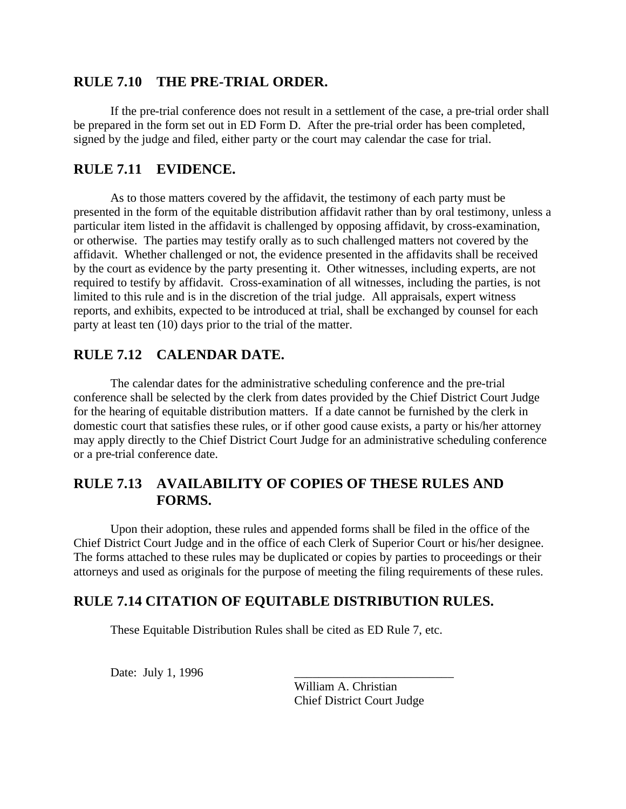## **RULE 7.10 THE PRE-TRIAL ORDER.**

If the pre-trial conference does not result in a settlement of the case, a pre-trial order shall be prepared in the form set out in ED Form D. After the pre-trial order has been completed, signed by the judge and filed, either party or the court may calendar the case for trial.

#### **RULE 7.11 EVIDENCE.**

As to those matters covered by the affidavit, the testimony of each party must be presented in the form of the equitable distribution affidavit rather than by oral testimony, unless a particular item listed in the affidavit is challenged by opposing affidavit, by cross-examination, or otherwise. The parties may testify orally as to such challenged matters not covered by the affidavit. Whether challenged or not, the evidence presented in the affidavits shall be received by the court as evidence by the party presenting it. Other witnesses, including experts, are not required to testify by affidavit. Cross-examination of all witnesses, including the parties, is not limited to this rule and is in the discretion of the trial judge. All appraisals, expert witness reports, and exhibits, expected to be introduced at trial, shall be exchanged by counsel for each party at least ten (10) days prior to the trial of the matter.

## **RULE 7.12 CALENDAR DATE.**

The calendar dates for the administrative scheduling conference and the pre-trial conference shall be selected by the clerk from dates provided by the Chief District Court Judge for the hearing of equitable distribution matters. If a date cannot be furnished by the clerk in domestic court that satisfies these rules, or if other good cause exists, a party or his/her attorney may apply directly to the Chief District Court Judge for an administrative scheduling conference or a pre-trial conference date.

## **RULE 7.13 AVAILABILITY OF COPIES OF THESE RULES AND FORMS.**

Upon their adoption, these rules and appended forms shall be filed in the office of the Chief District Court Judge and in the office of each Clerk of Superior Court or his/her designee. The forms attached to these rules may be duplicated or copies by parties to proceedings or their attorneys and used as originals for the purpose of meeting the filing requirements of these rules.

# **RULE 7.14 CITATION OF EQUITABLE DISTRIBUTION RULES.**

These Equitable Distribution Rules shall be cited as ED Rule 7, etc.

Date: July 1, 1996